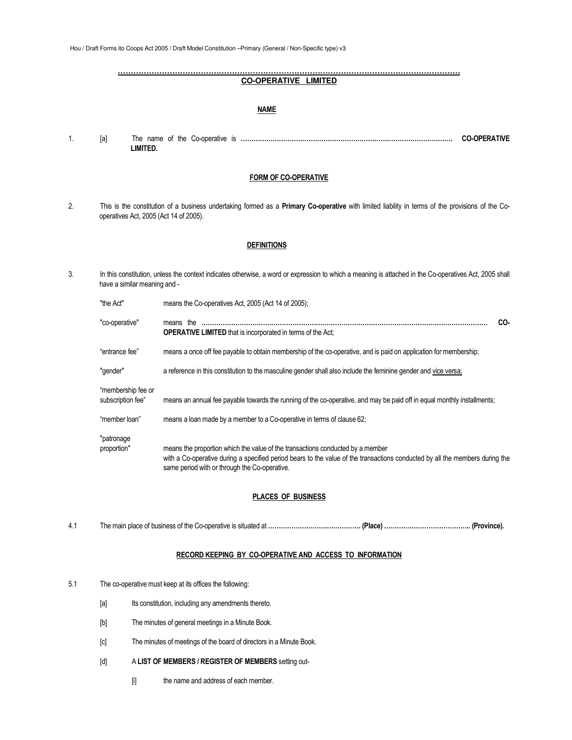Hou / Draft Forms ito Coops Act 2005 / Draft Model Constitution –Primary (General / Non-Specific type) v3

#### **…………………………………………………………………………………………………………………… CO-OPERATIVE LIMITED**

### **NAME**

1. [a] The name of the Co-operative is **………………………………………………………………………………………. CO-OPERATIVE LIMITED.** 

#### **FORM OF CO-OPERATIVE**

2. This is the constitution of a business undertaking formed as a **Primary Co-operative** with limited liability in terms of the provisions of the Cooperatives Act, 2005 (Act 14 of 2005).

### **DEFINITIONS**

3. In this constitution, unless the context indicates otherwise, a word or expression to which a meaning is attached in the Co-operatives Act, 2005 shall have a similar meaning and -

| "the Act"                               | means the Co-operatives Act, 2005 (Act 14 of 2005);                                                                                                                                                                                                             |     |
|-----------------------------------------|-----------------------------------------------------------------------------------------------------------------------------------------------------------------------------------------------------------------------------------------------------------------|-----|
| "co-operative"                          | means the<br><b>OPERATIVE LIMITED</b> that is incorporated in terms of the Act:                                                                                                                                                                                 | CO- |
| "entrance fee"                          | means a once off fee payable to obtain membership of the co-operative, and is paid on application for membership;                                                                                                                                               |     |
| "gender"                                | a reference in this constitution to the masculine gender shall also include the feminine gender and vice versa;                                                                                                                                                 |     |
| "membership fee or<br>subscription fee" | means an annual fee payable towards the running of the co-operative, and may be paid off in equal monthly installments;                                                                                                                                         |     |
| "member loan"                           | means a loan made by a member to a Co-operative in terms of clause 62;                                                                                                                                                                                          |     |
| "patronage<br>proportion"               | means the proportion which the value of the transactions conducted by a member<br>with a Co-operative during a specified period bears to the value of the transactions conducted by all the members during the<br>same period with or through the Co-operative. |     |

## **PLACES OF BUSINESS**

4.1 The main place of business of the Co-operative is situated at **……………………….……………. (Place) ………………………………….. (Province).** 

### **RECORD KEEPING BY CO-OPERATIVE AND ACCESS TO INFORMATION**

- 5.1 The co-operative must keep at its offices the following:
	- [a] Its constitution, including any amendments thereto.
	- [b] The minutes of general meetings in a Minute Book.
	- [c] The minutes of meetings of the board of directors in a Minute Book.
	- [d] A **LIST OF MEMBERS / REGISTER OF MEMBERS** setting out-
		- [i] the name and address of each member.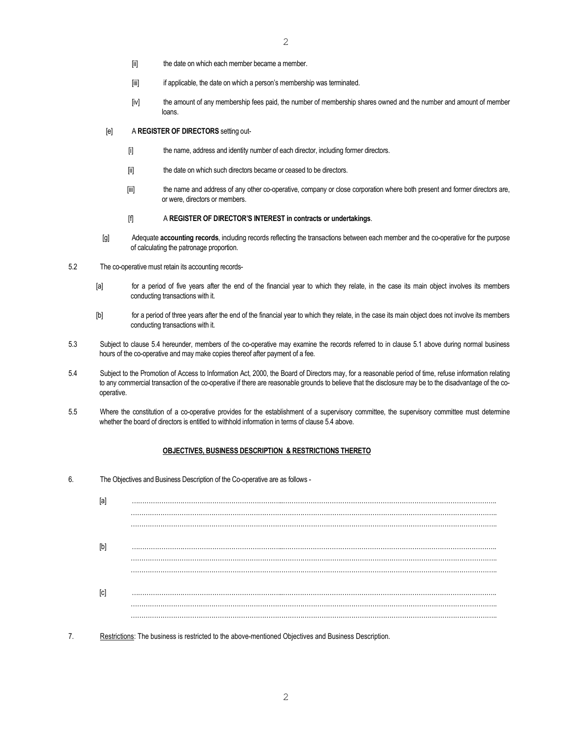- [ii] the date on which each member became a member.
- [iii] if applicable, the date on which a person's membership was terminated.
- [iv] the amount of any membership fees paid, the number of membership shares owned and the number and amount of member loans.
- [e] A **REGISTER OF DIRECTORS** setting out-
	- [i] the name, address and identity number of each director, including former directors.
	- [ii] the date on which such directors became or ceased to be directors.
	- [iii] the name and address of any other co-operative, company or close corporation where both present and former directors are, or were, directors or members.

### [f] A **REGISTER OF DIRECTOR'S INTEREST in contracts or undertakings**.

- [g] Adequate **accounting records**, including records reflecting the transactions between each member and the co-operative for the purpose of calculating the patronage proportion.
- 5.2 The co-operative must retain its accounting records-
	- [a] for a period of five years after the end of the financial year to which they relate, in the case its main object involves its members conducting transactions with it.
	- [b] for a period of three years after the end of the financial year to which they relate, in the case its main object does not involve its members conducting transactions with it.
- 5.3 Subject to clause 5.4 hereunder, members of the co-operative may examine the records referred to in clause 5.1 above during normal business hours of the co-operative and may make copies thereof after payment of a fee.
- 5.4 Subject to the Promotion of Access to Information Act, 2000, the Board of Directors may, for a reasonable period of time, refuse information relating to any commercial transaction of the co-operative if there are reasonable grounds to believe that the disclosure may be to the disadvantage of the cooperative.
- 5.5 Where the constitution of a co-operative provides for the establishment of a supervisory committee, the supervisory committee must determine whether the board of directors is entitled to withhold information in terms of clause 5.4 above.

### **OBJECTIVES, BUSINESS DESCRIPTION & RESTRICTIONS THERETO**

6. The Objectives and Business Description of the Co-operative are as follows -

| [a]                                                                                                                                                                                                                                                                                                                                                                                                                                                                                                                                                                                 |  |
|-------------------------------------------------------------------------------------------------------------------------------------------------------------------------------------------------------------------------------------------------------------------------------------------------------------------------------------------------------------------------------------------------------------------------------------------------------------------------------------------------------------------------------------------------------------------------------------|--|
|                                                                                                                                                                                                                                                                                                                                                                                                                                                                                                                                                                                     |  |
|                                                                                                                                                                                                                                                                                                                                                                                                                                                                                                                                                                                     |  |
| $[b] % \begin{center} % \includegraphics[width=\linewidth]{imagesSupplemental_3.png} % \end{center} % \caption { % \textit{DefNet} of \textit{DefNet} and \textit{DefNet} of \textit{DefNet} and \textit{DefNet} of \textit{DefNet} and \textit{DefNet} of \textit{DefNet} and \textit{DefNet} of \textit{DefNet} and \textit{DefNet} of \textit{DefNet} and \textit{DefNet} of \textit{DefNet} and \textit{DefNet} of \textit{DefNet} and \textit{DefNet} of \textit{DefNet} and \textit{DefNet} of \textit{DefNet} and \textit{DefNet} of \textit{DefNet} and \textit{DefNet} of$ |  |
|                                                                                                                                                                                                                                                                                                                                                                                                                                                                                                                                                                                     |  |
|                                                                                                                                                                                                                                                                                                                                                                                                                                                                                                                                                                                     |  |
| [c]                                                                                                                                                                                                                                                                                                                                                                                                                                                                                                                                                                                 |  |
|                                                                                                                                                                                                                                                                                                                                                                                                                                                                                                                                                                                     |  |
|                                                                                                                                                                                                                                                                                                                                                                                                                                                                                                                                                                                     |  |

7. Restrictions: The business is restricted to the above-mentioned Objectives and Business Description.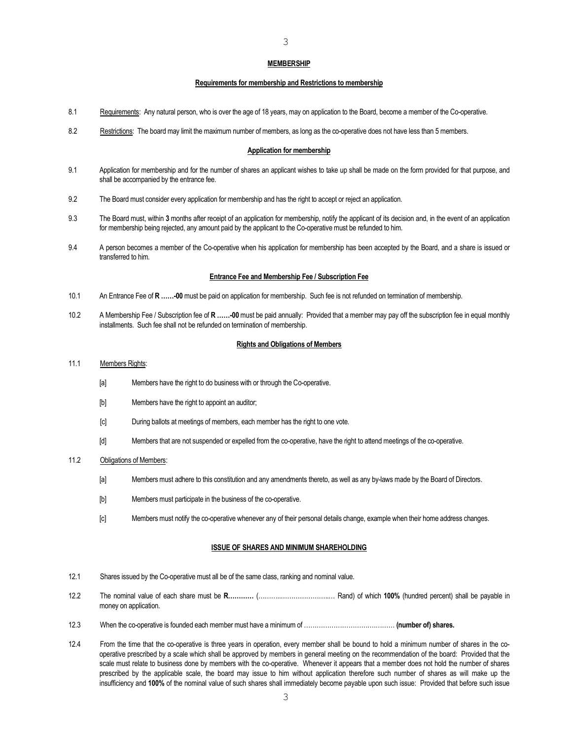#### **MEMBERSHIP**

#### **Requirements for membership and Restrictions to membership**

- 8.1 Requirements: Any natural person, who is over the age of 18 years, may on application to the Board, become a member of the Co-operative.
- 8.2 Restrictions: The board may limit the maximum number of members, as long as the co-operative does not have less than 5 members.

#### **Application for membership**

- 9.1 Application for membership and for the number of shares an applicant wishes to take up shall be made on the form provided for that purpose, and shall be accompanied by the entrance fee.
- 9.2 The Board must consider every application for membership and has the right to accept or reject an application.
- 9.3 The Board must, within **3** months after receipt of an application for membership, notify the applicant of its decision and, in the event of an application for membership being rejected, any amount paid by the applicant to the Co-operative must be refunded to him.
- 9.4 A person becomes a member of the Co-operative when his application for membership has been accepted by the Board, and a share is issued or transferred to him.

#### **Entrance Fee and Membership Fee / Subscription Fee**

- 10.1 An Entrance Fee of **R ……-00** must be paid on application for membership. Such fee is not refunded on termination of membership.
- 10.2 A Membership Fee / Subscription fee of **R ……-00** must be paid annually: Provided that a member may pay off the subscription fee in equal monthly installments. Such fee shall not be refunded on termination of membership.

#### **Rights and Obligations of Members**

#### 11.1 Members Rights:

- [a] Members have the right to do business with or through the Co-operative.
- [b] Members have the right to appoint an auditor;
- [c] During ballots at meetings of members, each member has the right to one vote.
- [d] Members that are not suspended or expelled from the co-operative, have the right to attend meetings of the co-operative.

#### 11.2 Obligations of Members:

- [a] Members must adhere to this constitution and any amendments thereto, as well as any by-laws made by the Board of Directors.
- [b] Members must participate in the business of the co-operative.
- [c] Members must notify the co-operative whenever any of their personal details change, example when their home address changes.

#### **ISSUE OF SHARES AND MINIMUM SHAREHOLDING**

- 12.1 Shares issued by the Co-operative must all be of the same class, ranking and nominal value.
- 12.2 The nominal value of each share must be **R…………** (………..…………………..… Rand) of which **100%** (hundred percent) shall be payable in money on application.
- 12.3 When the co-operative is founded each member must have a minimum of …………………………….……… **(number of) shares.**
- 12.4 From the time that the co-operative is three years in operation, every member shall be bound to hold a minimum number of shares in the cooperative prescribed by a scale which shall be approved by members in general meeting on the recommendation of the board: Provided that the scale must relate to business done by members with the co-operative. Whenever it appears that a member does not hold the number of shares prescribed by the applicable scale, the board may issue to him without application therefore such number of shares as will make up the insufficiency and **100%** of the nominal value of such shares shall immediately become payable upon such issue: Provided that before such issue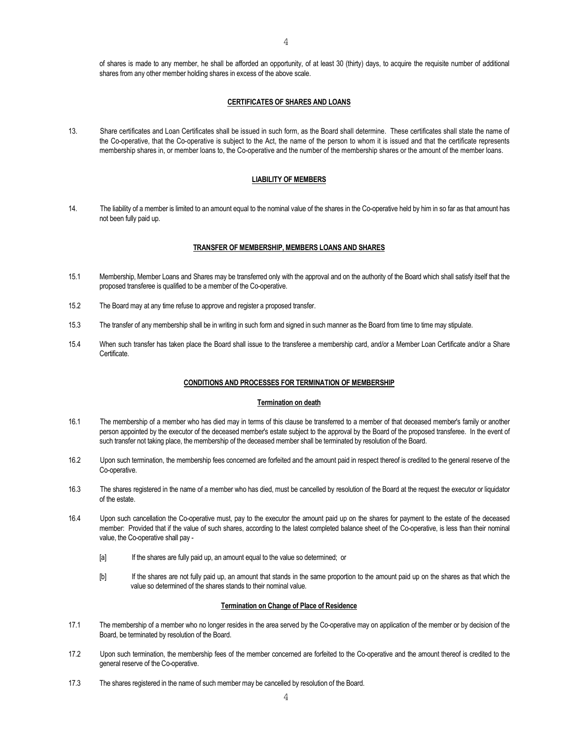of shares is made to any member, he shall be afforded an opportunity, of at least 30 (thirty) days, to acquire the requisite number of additional shares from any other member holding shares in excess of the above scale.

## **CERTIFICATES OF SHARES AND LOANS**

13. Share certificates and Loan Certificates shall be issued in such form, as the Board shall determine. These certificates shall state the name of the Co-operative, that the Co-operative is subject to the Act, the name of the person to whom it is issued and that the certificate represents membership shares in, or member loans to, the Co-operative and the number of the membership shares or the amount of the member loans.

#### **LIABILITY OF MEMBERS**

14. The liability of a member is limited to an amount equal to the nominal value of the shares in the Co-operative held by him in so far as that amount has not been fully paid up.

#### **TRANSFER OF MEMBERSHIP, MEMBERS LOANS AND SHARES**

- 15.1 Membership, Member Loans and Shares may be transferred only with the approval and on the authority of the Board which shall satisfy itself that the proposed transferee is qualified to be a member of the Co-operative.
- 15.2 The Board may at any time refuse to approve and register a proposed transfer.
- 15.3 The transfer of any membership shall be in writing in such form and signed in such manner as the Board from time to time may stipulate.
- 15.4 When such transfer has taken place the Board shall issue to the transferee a membership card, and/or a Member Loan Certificate and/or a Share Certificate.

#### **CONDITIONS AND PROCESSES FOR TERMINATION OF MEMBERSHIP**

#### **Termination on death**

- 16.1 The membership of a member who has died may in terms of this clause be transferred to a member of that deceased member's family or another person appointed by the executor of the deceased member's estate subject to the approval by the Board of the proposed transferee. In the event of such transfer not taking place, the membership of the deceased member shall be terminated by resolution of the Board.
- 16.2 Upon such termination, the membership fees concerned are forfeited and the amount paid in respect thereof is credited to the general reserve of the Co-operative.
- 16.3 The shares registered in the name of a member who has died, must be cancelled by resolution of the Board at the request the executor or liquidator of the estate.
- 16.4 Upon such cancellation the Co-operative must, pay to the executor the amount paid up on the shares for payment to the estate of the deceased member: Provided that if the value of such shares, according to the latest completed balance sheet of the Co-operative, is less than their nominal value, the Co-operative shall pay -
	- [a] If the shares are fully paid up, an amount equal to the value so determined; or
	- [b] If the shares are not fully paid up, an amount that stands in the same proportion to the amount paid up on the shares as that which the value so determined of the shares stands to their nominal value.

### **Termination on Change of Place of Residence**

- 17.1 The membership of a member who no longer resides in the area served by the Co-operative may on application of the member or by decision of the Board, be terminated by resolution of the Board.
- 17.2 Upon such termination, the membership fees of the member concerned are forfeited to the Co-operative and the amount thereof is credited to the general reserve of the Co-operative.
- 17.3 The shares registered in the name of such member may be cancelled by resolution of the Board.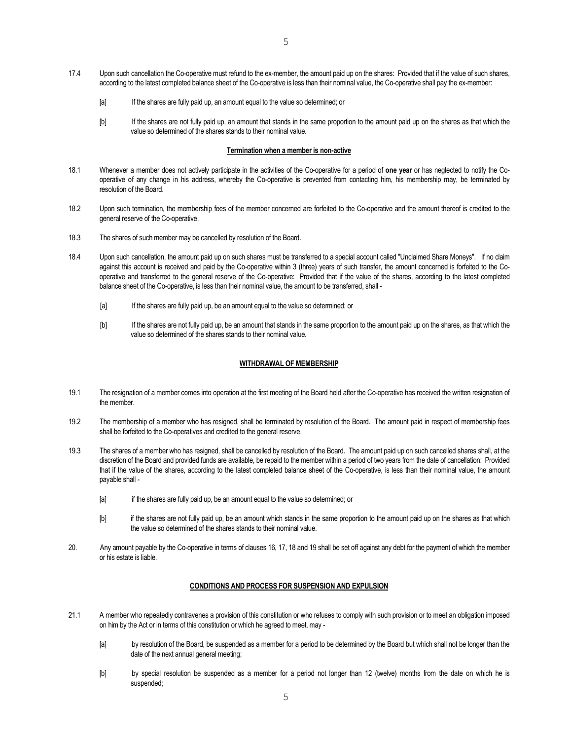- [a] If the shares are fully paid up, an amount equal to the value so determined; or
- [b] If the shares are not fully paid up, an amount that stands in the same proportion to the amount paid up on the shares as that which the value so determined of the shares stands to their nominal value.

#### **Termination when a member is non-active**

- 18.1 Whenever a member does not actively participate in the activities of the Co-operative for a period of **one year** or has neglected to notify the Cooperative of any change in his address, whereby the Co-operative is prevented from contacting him, his membership may, be terminated by resolution of the Board.
- 18.2 Upon such termination, the membership fees of the member concerned are forfeited to the Co-operative and the amount thereof is credited to the general reserve of the Co-operative.
- 18.3 The shares of such member may be cancelled by resolution of the Board.
- 18.4 Upon such cancellation, the amount paid up on such shares must be transferred to a special account called "Unclaimed Share Moneys". If no claim against this account is received and paid by the Co-operative within 3 (three) years of such transfer, the amount concerned is forfeited to the Cooperative and transferred to the general reserve of the Co-operative: Provided that if the value of the shares, according to the latest completed balance sheet of the Co-operative, is less than their nominal value, the amount to be transferred, shall -
	- [a] If the shares are fully paid up, be an amount equal to the value so determined; or
	- [b] If the shares are not fully paid up, be an amount that stands in the same proportion to the amount paid up on the shares, as that which the value so determined of the shares stands to their nominal value.

### **WITHDRAWAL OF MEMBERSHIP**

- 19.1 The resignation of a member comes into operation at the first meeting of the Board held after the Co-operative has received the written resignation of the member.
- 19.2 The membership of a member who has resigned, shall be terminated by resolution of the Board. The amount paid in respect of membership fees shall be forfeited to the Co-operatives and credited to the general reserve.
- 19.3 The shares of a member who has resigned, shall be cancelled by resolution of the Board. The amount paid up on such cancelled shares shall, at the discretion of the Board and provided funds are available, be repaid to the member within a period of two years from the date of cancellation: Provided that if the value of the shares, according to the latest completed balance sheet of the Co-operative, is less than their nominal value, the amount payable shall -
	- [a] if the shares are fully paid up, be an amount equal to the value so determined; or
	- [b] if the shares are not fully paid up, be an amount which stands in the same proportion to the amount paid up on the shares as that which the value so determined of the shares stands to their nominal value.
- 20. Any amount payable by the Co-operative in terms of clauses 16, 17, 18 and 19 shall be set off against any debt for the payment of which the member or his estate is liable.

### **CONDITIONS AND PROCESS FOR SUSPENSION AND EXPULSION**

- 21.1 A member who repeatedly contravenes a provision of this constitution or who refuses to comply with such provision or to meet an obligation imposed on him by the Act or in terms of this constitution or which he agreed to meet, may -
	- [a] by resolution of the Board, be suspended as a member for a period to be determined by the Board but which shall not be longer than the date of the next annual general meeting;
	- [b] by special resolution be suspended as a member for a period not longer than 12 (twelve) months from the date on which he is suspended;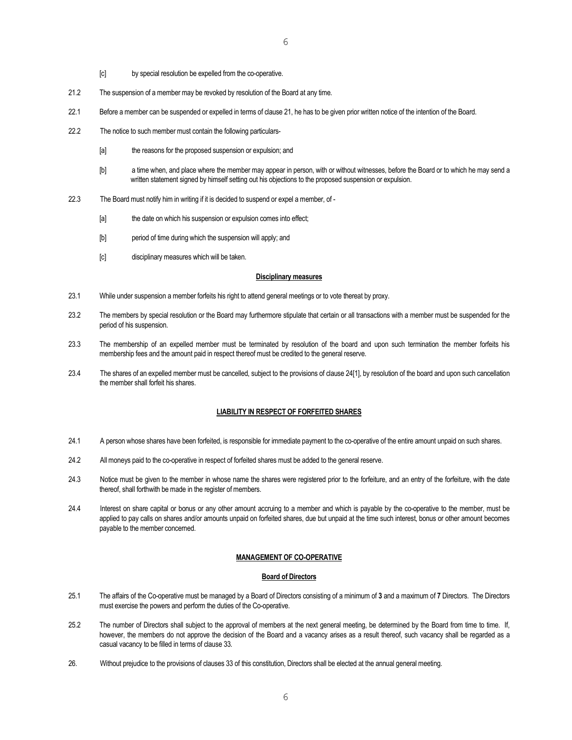- [c] by special resolution be expelled from the co-operative.
- 21.2 The suspension of a member may be revoked by resolution of the Board at any time.
- 22.1 Before a member can be suspended or expelled in terms of clause 21, he has to be given prior written notice of the intention of the Board.
- 22.2 The notice to such member must contain the following particulars-
	- [a] the reasons for the proposed suspension or expulsion; and
	- [b] a time when, and place where the member may appear in person, with or without witnesses, before the Board or to which he may send a written statement signed by himself setting out his objections to the proposed suspension or expulsion.
- 22.3 The Board must notify him in writing if it is decided to suspend or expel a member, of
	- [a] the date on which his suspension or expulsion comes into effect;
	- [b] period of time during which the suspension will apply; and
	- [c] disciplinary measures which will be taken.

#### **Disciplinary measures**

- 23.1 While under suspension a member forfeits his right to attend general meetings or to vote thereat by proxy.
- 23.2 The members by special resolution or the Board may furthermore stipulate that certain or all transactions with a member must be suspended for the period of his suspension.
- 23.3 The membership of an expelled member must be terminated by resolution of the board and upon such termination the member forfeits his membership fees and the amount paid in respect thereof must be credited to the general reserve.
- 23.4 The shares of an expelled member must be cancelled, subject to the provisions of clause 24[1], by resolution of the board and upon such cancellation the member shall forfeit his shares.

### **LIABILITY IN RESPECT OF FORFEITED SHARES**

- 24.1 A person whose shares have been forfeited, is responsible for immediate payment to the co-operative of the entire amount unpaid on such shares.
- 24.2 All moneys paid to the co-operative in respect of forfeited shares must be added to the general reserve.
- 24.3 Notice must be given to the member in whose name the shares were registered prior to the forfeiture, and an entry of the forfeiture, with the date thereof, shall forthwith be made in the register of members.
- 24.4 Interest on share capital or bonus or any other amount accruing to a member and which is payable by the co-operative to the member, must be applied to pay calls on shares and/or amounts unpaid on forfeited shares, due but unpaid at the time such interest, bonus or other amount becomes payable to the member concerned.

### **MANAGEMENT OF CO-OPERATIVE**

### **Board of Directors**

- 25.1 The affairs of the Co-operative must be managed by a Board of Directors consisting of a minimum of **3** and a maximum of **7** Directors. The Directors must exercise the powers and perform the duties of the Co-operative.
- 25.2 The number of Directors shall subject to the approval of members at the next general meeting, be determined by the Board from time to time. If, however, the members do not approve the decision of the Board and a vacancy arises as a result thereof, such vacancy shall be regarded as a casual vacancy to be filled in terms of clause 33.
- 26. Without prejudice to the provisions of clauses 33 of this constitution, Directors shall be elected at the annual general meeting.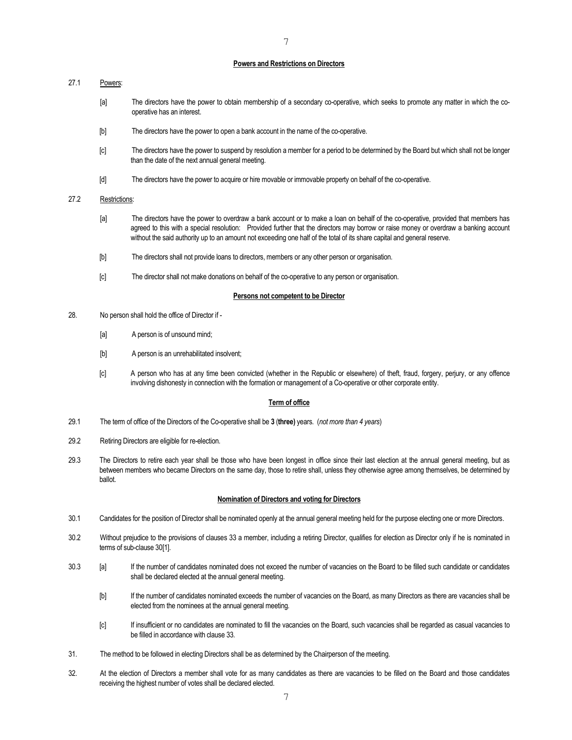#### **Powers and Restrictions on Directors**

7

## 27.1 Powers:

- [a] The directors have the power to obtain membership of a secondary co-operative, which seeks to promote any matter in which the cooperative has an interest.
- [b] The directors have the power to open a bank account in the name of the co-operative.
- [c] The directors have the power to suspend by resolution a member for a period to be determined by the Board but which shall not be longer than the date of the next annual general meeting.
- [d] The directors have the power to acquire or hire movable or immovable property on behalf of the co-operative.

### 27.2 Restrictions:

- [a] The directors have the power to overdraw a bank account or to make a loan on behalf of the co-operative, provided that members has agreed to this with a special resolution: Provided further that the directors may borrow or raise money or overdraw a banking account without the said authority up to an amount not exceeding one half of the total of its share capital and general reserve.
- [b] The directors shall not provide loans to directors, members or any other person or organisation.
- [c] The director shall not make donations on behalf of the co-operative to any person or organisation.

### **Persons not competent to be Director**

- 28. No person shall hold the office of Director if
	- [a] A person is of unsound mind;
	- [b] A person is an unrehabilitated insolvent;
	- [c] A person who has at any time been convicted (whether in the Republic or elsewhere) of theft, fraud, forgery, perjury, or any offence involving dishonesty in connection with the formation or management of a Co-operative or other corporate entity.

#### **Term of office**

- 29.1 The term of office of the Directors of the Co-operative shall be **3** (**three)** years. (*not more than 4 years*)
- 29.2 Retiring Directors are eligible for re-election.
- 29.3 The Directors to retire each year shall be those who have been longest in office since their last election at the annual general meeting, but as between members who became Directors on the same day, those to retire shall, unless they otherwise agree among themselves, be determined by ballot.

## **Nomination of Directors and voting for Directors**

- 30.1 Candidates for the position of Director shall be nominated openly at the annual general meeting held for the purpose electing one or more Directors.
- 30.2 Without prejudice to the provisions of clauses 33 a member, including a retiring Director, qualifies for election as Director only if he is nominated in terms of sub-clause 30[1].
- 30.3 [a] If the number of candidates nominated does not exceed the number of vacancies on the Board to be filled such candidate or candidates shall be declared elected at the annual general meeting.
	- [b] If the number of candidates nominated exceeds the number of vacancies on the Board, as many Directors as there are vacancies shall be elected from the nominees at the annual general meeting.
	- [c] If insufficient or no candidates are nominated to fill the vacancies on the Board, such vacancies shall be regarded as casual vacancies to be filled in accordance with clause 33.
- 31. The method to be followed in electing Directors shall be as determined by the Chairperson of the meeting.
- 32. At the election of Directors a member shall vote for as many candidates as there are vacancies to be filled on the Board and those candidates receiving the highest number of votes shall be declared elected.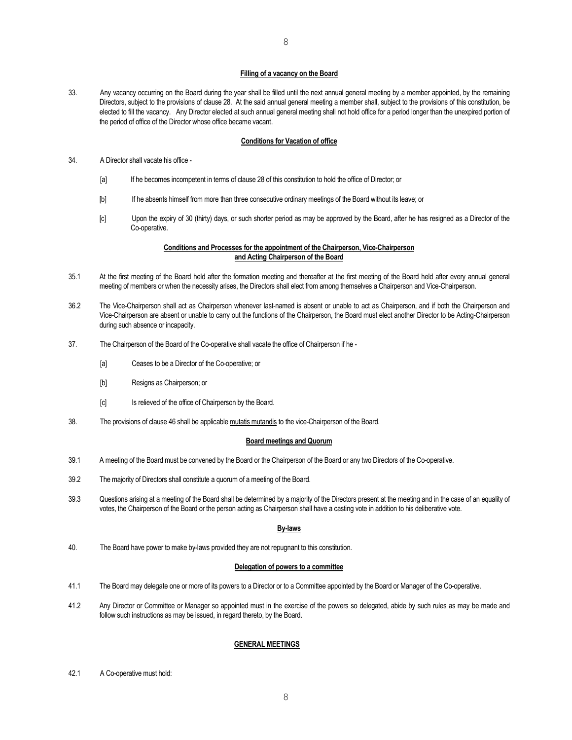### 8

#### **Filling of a vacancy on the Board**

33. Any vacancy occurring on the Board during the year shall be filled until the next annual general meeting by a member appointed, by the remaining Directors, subject to the provisions of clause 28. At the said annual general meeting a member shall, subject to the provisions of this constitution, be elected to fill the vacancy. Any Director elected at such annual general meeting shall not hold office for a period longer than the unexpired portion of the period of office of the Director whose office became vacant.

#### **Conditions for Vacation of office**

- 34. A Director shall vacate his office
	- [a] If he becomes incompetent in terms of clause 28 of this constitution to hold the office of Director; or
	- [b] If he absents himself from more than three consecutive ordinary meetings of the Board without its leave; or
	- [c] Upon the expiry of 30 (thirty) days, or such shorter period as may be approved by the Board, after he has resigned as a Director of the Co-operative.

### **Conditions and Processes for the appointment of the Chairperson, Vice-Chairperson and Acting Chairperson of the Board**

- 35.1 At the first meeting of the Board held after the formation meeting and thereafter at the first meeting of the Board held after every annual general meeting of members or when the necessity arises, the Directors shall elect from among themselves a Chairperson and Vice-Chairperson.
- 36.2 The Vice-Chairperson shall act as Chairperson whenever last-named is absent or unable to act as Chairperson, and if both the Chairperson and Vice-Chairperson are absent or unable to carry out the functions of the Chairperson, the Board must elect another Director to be Acting-Chairperson during such absence or incapacity.
- 37. The Chairperson of the Board of the Co-operative shall vacate the office of Chairperson if he
	- [a] Ceases to be a Director of the Co-operative; or
	- [b] Resigns as Chairperson; or
	- [c] Is relieved of the office of Chairperson by the Board.
- 38. The provisions of clause 46 shall be applicable mutatis mutandis to the vice-Chairperson of the Board.

#### **Board meetings and Quorum**

- 39.1 A meeting of the Board must be convened by the Board or the Chairperson of the Board or any two Directors of the Co-operative.
- 39.2 The majority of Directors shall constitute a quorum of a meeting of the Board.
- 39.3 Questions arising at a meeting of the Board shall be determined by a majority of the Directors present at the meeting and in the case of an equality of votes, the Chairperson of the Board or the person acting as Chairperson shall have a casting vote in addition to his deliberative vote.

#### **By-laws**

40. The Board have power to make by-laws provided they are not repugnant to this constitution.

#### **Delegation of powers to a committee**

- 41.1 The Board may delegate one or more of its powers to a Director or to a Committee appointed by the Board or Manager of the Co-operative.
- 41.2 Any Director or Committee or Manager so appointed must in the exercise of the powers so delegated, abide by such rules as may be made and follow such instructions as may be issued, in regard thereto, by the Board.

### **GENERAL MEETINGS**

42.1 A Co-operative must hold: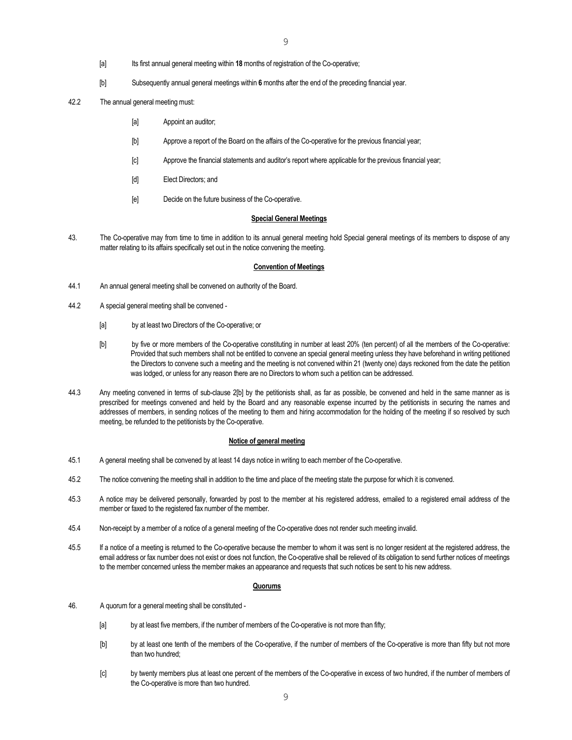- [a] Its first annual general meeting within **18** months of registration of the Co-operative;
- [b] Subsequently annual general meetings within **6** months after the end of the preceding financial year.
- 42.2 The annual general meeting must:
	- [a] Appoint an auditor;
	- [b] Approve a report of the Board on the affairs of the Co-operative for the previous financial year;
	- [c] Approve the financial statements and auditor's report where applicable for the previous financial year;
	- [d] Elect Directors; and
	- [e] Decide on the future business of the Co-operative.

### **Special General Meetings**

43. The Co-operative may from time to time in addition to its annual general meeting hold Special general meetings of its members to dispose of any matter relating to its affairs specifically set out in the notice convening the meeting.

## **Convention of Meetings**

- 44.1 An annual general meeting shall be convened on authority of the Board.
- 44.2 A special general meeting shall be convened
	- [a] by at least two Directors of the Co-operative; or
	- [b] by five or more members of the Co-operative constituting in number at least 20% (ten percent) of all the members of the Co-operative: Provided that such members shall not be entitled to convene an special general meeting unless they have beforehand in writing petitioned the Directors to convene such a meeting and the meeting is not convened within 21 (twenty one) days reckoned from the date the petition was lodged, or unless for any reason there are no Directors to whom such a petition can be addressed.
- 44.3 Any meeting convened in terms of sub-clause 2[b] by the petitionists shall, as far as possible, be convened and held in the same manner as is prescribed for meetings convened and held by the Board and any reasonable expense incurred by the petitionists in securing the names and addresses of members, in sending notices of the meeting to them and hiring accommodation for the holding of the meeting if so resolved by such meeting, be refunded to the petitionists by the Co-operative.

#### **Notice of general meeting**

- 45.1 A general meeting shall be convened by at least 14 days notice in writing to each member of the Co-operative.
- 45.2 The notice convening the meeting shall in addition to the time and place of the meeting state the purpose for which it is convened.
- 45.3 A notice may be delivered personally, forwarded by post to the member at his registered address, emailed to a registered email address of the member or faxed to the registered fax number of the member.
- 45.4 Non-receipt by a member of a notice of a general meeting of the Co-operative does not render such meeting invalid.
- 45.5 If a notice of a meeting is returned to the Co-operative because the member to whom it was sent is no longer resident at the registered address, the email address or fax number does not exist or does not function, the Co-operative shall be relieved of its obligation to send further notices of meetings to the member concerned unless the member makes an appearance and requests that such notices be sent to his new address.

#### **Quorums**

- 46. A quorum for a general meeting shall be constituted
	- [a] by at least five members, if the number of members of the Co-operative is not more than fifty;
	- [b] by at least one tenth of the members of the Co-operative, if the number of members of the Co-operative is more than fifty but not more than two hundred;
	- [c] by twenty members plus at least one percent of the members of the Co-operative in excess of two hundred, if the number of members of the Co-operative is more than two hundred.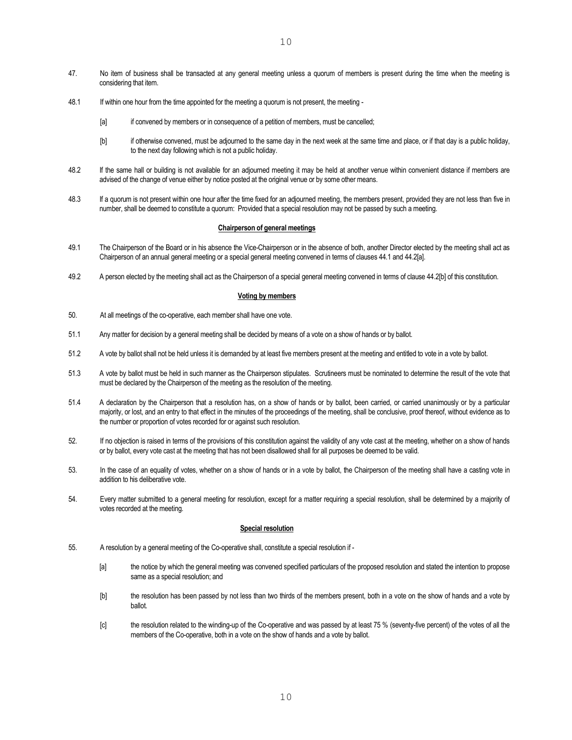- 47. No item of business shall be transacted at any general meeting unless a quorum of members is present during the time when the meeting is considering that item.
- 48.1 If within one hour from the time appointed for the meeting a quorum is not present, the meeting
	- [a] if convened by members or in consequence of a petition of members, must be cancelled;
	- [b] if otherwise convened, must be adjourned to the same day in the next week at the same time and place, or if that day is a public holiday, to the next day following which is not a public holiday.
- 48.2 If the same hall or building is not available for an adjourned meeting it may be held at another venue within convenient distance if members are advised of the change of venue either by notice posted at the original venue or by some other means.
- 48.3 If a quorum is not present within one hour after the time fixed for an adjourned meeting, the members present, provided they are not less than five in number, shall be deemed to constitute a quorum: Provided that a special resolution may not be passed by such a meeting.

### **Chairperson of general meetings**

- 49.1 The Chairperson of the Board or in his absence the Vice-Chairperson or in the absence of both, another Director elected by the meeting shall act as Chairperson of an annual general meeting or a special general meeting convened in terms of clauses 44.1 and 44.2[a].
- 49.2 A person elected by the meeting shall act as the Chairperson of a special general meeting convened in terms of clause 44.2[b] of this constitution.

#### **Voting by members**

- 50. At all meetings of the co-operative, each member shall have one vote.
- 51.1 Any matter for decision by a general meeting shall be decided by means of a vote on a show of hands or by ballot.
- 51.2 A vote by ballot shall not be held unless it is demanded by at least five members present at the meeting and entitled to vote in a vote by ballot.
- 51.3 A vote by ballot must be held in such manner as the Chairperson stipulates. Scrutineers must be nominated to determine the result of the vote that must be declared by the Chairperson of the meeting as the resolution of the meeting.
- 51.4 A declaration by the Chairperson that a resolution has, on a show of hands or by ballot, been carried, or carried unanimously or by a particular majority, or lost, and an entry to that effect in the minutes of the proceedings of the meeting, shall be conclusive, proof thereof, without evidence as to the number or proportion of votes recorded for or against such resolution.
- 52. If no objection is raised in terms of the provisions of this constitution against the validity of any vote cast at the meeting, whether on a show of hands or by ballot, every vote cast at the meeting that has not been disallowed shall for all purposes be deemed to be valid.
- 53. In the case of an equality of votes, whether on a show of hands or in a vote by ballot, the Chairperson of the meeting shall have a casting vote in addition to his deliberative vote.
- 54. Every matter submitted to a general meeting for resolution, except for a matter requiring a special resolution, shall be determined by a majority of votes recorded at the meeting.

#### **Special resolution**

- 55. A resolution by a general meeting of the Co-operative shall, constitute a special resolution if
	- [a] the notice by which the general meeting was convened specified particulars of the proposed resolution and stated the intention to propose same as a special resolution; and
	- [b] the resolution has been passed by not less than two thirds of the members present, both in a vote on the show of hands and a vote by ballot.
	- [c] the resolution related to the winding-up of the Co-operative and was passed by at least 75 % (seventy-five percent) of the votes of all the members of the Co-operative, both in a vote on the show of hands and a vote by ballot.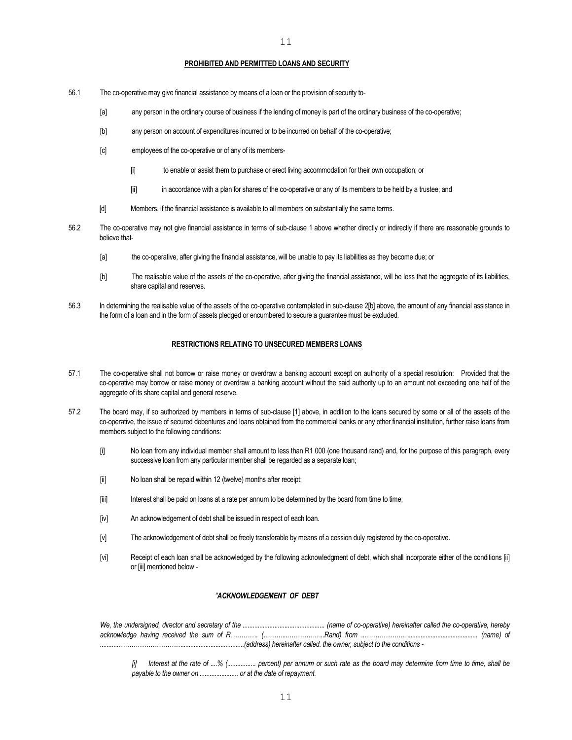#### **PROHIBITED AND PERMITTED LOANS AND SECURITY**

- 56.1 The co-operative may give financial assistance by means of a loan or the provision of security to-
	- [a] any person in the ordinary course of business if the lending of money is part of the ordinary business of the co-operative;
	- [b] any person on account of expenditures incurred or to be incurred on behalf of the co-operative;
	- [c] employees of the co-operative or of any of its members-
		- [i] to enable or assist them to purchase or erect living accommodation for their own occupation; or
		- [ii] in accordance with a plan for shares of the co-operative or any of its members to be held by a trustee; and
	- [d] Members, if the financial assistance is available to all members on substantially the same terms.
- 56.2 The co-operative may not give financial assistance in terms of sub-clause 1 above whether directly or indirectly if there are reasonable grounds to believe that-
	- [a] the co-operative, after giving the financial assistance, will be unable to pay its liabilities as they become due; or
	- [b] The realisable value of the assets of the co-operative, after giving the financial assistance, will be less that the aggregate of its liabilities, share capital and reserves.
- 56.3 In determining the realisable value of the assets of the co-operative contemplated in sub-clause 2[b] above, the amount of any financial assistance in the form of a loan and in the form of assets pledged or encumbered to secure a guarantee must be excluded.

#### **RESTRICTIONS RELATING TO UNSECURED MEMBERS LOANS**

- 57.1 The co-operative shall not borrow or raise money or overdraw a banking account except on authority of a special resolution: Provided that the co-operative may borrow or raise money or overdraw a banking account without the said authority up to an amount not exceeding one half of the aggregate of its share capital and general reserve.
- 57.2 The board may, if so authorized by members in terms of sub-clause [1] above, in addition to the loans secured by some or all of the assets of the co-operative, the issue of secured debentures and loans obtained from the commercial banks or any other financial institution, further raise loans from members subject to the following conditions:
	- [i] No loan from any individual member shall amount to less than R1 000 (one thousand rand) and, for the purpose of this paragraph, every successive loan from any particular member shall be regarded as a separate loan;
	- [ii] No loan shall be repaid within 12 (twelve) months after receipt;
	- [iii] Interest shall be paid on loans at a rate per annum to be determined by the board from time to time;
	- [iv] An acknowledgement of debt shall be issued in respect of each loan.
	- [v] The acknowledgement of debt shall be freely transferable by means of a cession duly registered by the co-operative.
	- [vi] Receipt of each loan shall be acknowledged by the following acknowledgment of debt, which shall incorporate either of the conditions [ii] or [iii] mentioned below -

### *"ACKNOWLEDGEMENT OF DEBT*

 *We, the undersigned, director and secretary of the ................................................. (name of co-operative) hereinafter called the co-operative, hereby acknowledge having received the sum of R…………. (………....……………..Rand) from ..…………………......................................... (name) of ...........………………………….....................................(address) hereinafter called. the owner, subject to the conditions -* 

 *[i] Interest at the rate of ....% (................. percent) per annum or such rate as the board may determine from time to time, shall be payable to the owner on ....................... or at the date of repayment.*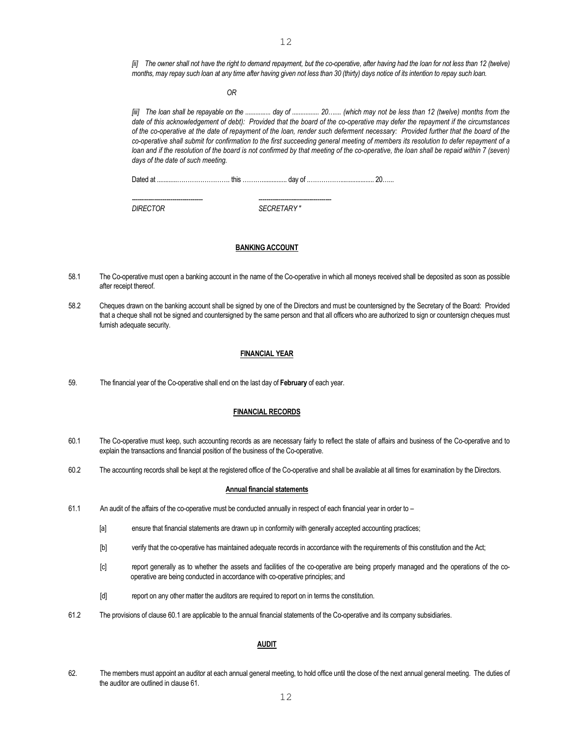*[ii] The owner shall not have the right to demand repayment, but the co-operative, after having had the loan for not less than 12 (twelve) months, may repay such loan at any time after having given not less than 30 (thirty) days notice of its intention to repay such loan.* 

 *OR* 

 *[iii] The loan shall be repayable on the ............... day of ................ 20….... (which may not be less than 12 (twelve) months from the date of this acknowledgement of debt): Provided that the board of the co-operative may defer the repayment if the circumstances of the co-operative at the date of repayment of the loan, render such deferment necessary: Provided further that the board of the co-operative shall submit for confirmation to the first succeeding general meeting of members its resolution to defer repayment of a*  loan and if the resolution of the board is not confirmed by that meeting of the co-operative, the loan shall be repaid within 7 (seven) *days of the date of such meeting.* 

Dated at ............……………………. this ………............... day of .…………….................... 20…...

 *----------------------------------- ------------------------------------ DIRECTOR SECRETARY "* 

### **BANKING ACCOUNT**

- 58.1 The Co-operative must open a banking account in the name of the Co-operative in which all moneys received shall be deposited as soon as possible after receipt thereof.
- 58.2 Cheques drawn on the banking account shall be signed by one of the Directors and must be countersigned by the Secretary of the Board: Provided that a cheque shall not be signed and countersigned by the same person and that all officers who are authorized to sign or countersign cheques must furnish adequate security.

## **FINANCIAL YEAR**

59. The financial year of the Co-operative shall end on the last day of **February** of each year.

### **FINANCIAL RECORDS**

- 60.1 The Co-operative must keep, such accounting records as are necessary fairly to reflect the state of affairs and business of the Co-operative and to explain the transactions and financial position of the business of the Co-operative.
- 60.2 The accounting records shall be kept at the registered office of the Co-operative and shall be available at all times for examination by the Directors.

### **Annual financial statements**

- 61.1 An audit of the affairs of the co-operative must be conducted annually in respect of each financial year in order to
	- [a] ensure that financial statements are drawn up in conformity with generally accepted accounting practices;
	- [b] verify that the co-operative has maintained adequate records in accordance with the requirements of this constitution and the Act;
	- [c] report generally as to whether the assets and facilities of the co-operative are being properly managed and the operations of the cooperative are being conducted in accordance with co-operative principles; and
	- [d] report on any other matter the auditors are required to report on in terms the constitution.
- 61.2 The provisions of clause 60.1 are applicable to the annual financial statements of the Co-operative and its company subsidiaries.

#### **AUDIT**

62. The members must appoint an auditor at each annual general meeting, to hold office until the close of the next annual general meeting. The duties of the auditor are outlined in clause 61.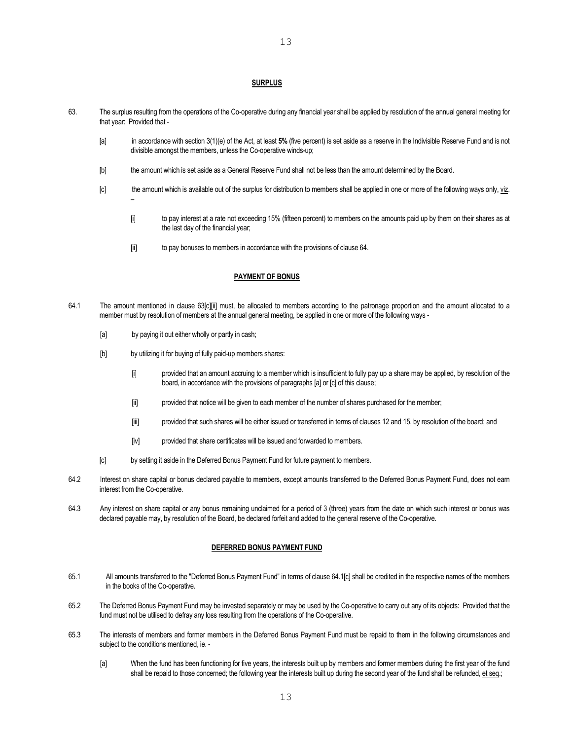## **SURPLUS**

- 63. The surplus resulting from the operations of the Co-operative during any financial year shall be applied by resolution of the annual general meeting for that year: Provided that -
	- [a] in accordance with section 3(1)(e) of the Act, at least **5%** (five percent) is set aside as a reserve in the Indivisible Reserve Fund and is not divisible amongst the members, unless the Co-operative winds-up;
	- [b] the amount which is set aside as a General Reserve Fund shall not be less than the amount determined by the Board.
	- [c] the amount which is available out of the surplus for distribution to members shall be applied in one or more of the following ways only, viz. –
		- [i] to pay interest at a rate not exceeding 15% (fifteen percent) to members on the amounts paid up by them on their shares as at the last day of the financial year;
		- [ii] to pay bonuses to members in accordance with the provisions of clause 64.

## **PAYMENT OF BONUS**

- 64.1 The amount mentioned in clause 63[c][ii] must, be allocated to members according to the patronage proportion and the amount allocated to a member must by resolution of members at the annual general meeting, be applied in one or more of the following ways -
	- [a] by paying it out either wholly or partly in cash;
	- [b] by utilizing it for buying of fully paid-up members shares:
		- [i] provided that an amount accruing to a member which is insufficient to fully pay up a share may be applied, by resolution of the board, in accordance with the provisions of paragraphs [a] or [c] of this clause;
		- [ii] provided that notice will be given to each member of the number of shares purchased for the member;
		- [iii] provided that such shares will be either issued or transferred in terms of clauses 12 and 15, by resolution of the board; and
		- [iv] provided that share certificates will be issued and forwarded to members.
	- [c] by setting it aside in the Deferred Bonus Payment Fund for future payment to members.
- 64.2 Interest on share capital or bonus declared payable to members, except amounts transferred to the Deferred Bonus Payment Fund, does not earn interest from the Co-operative.
- 64.3 Any interest on share capital or any bonus remaining unclaimed for a period of 3 (three) years from the date on which such interest or bonus was declared payable may, by resolution of the Board, be declared forfeit and added to the general reserve of the Co-operative.

### **DEFERRED BONUS PAYMENT FUND**

- 65.1 All amounts transferred to the "Deferred Bonus Payment Fund" in terms of clause 64.1[c] shall be credited in the respective names of the members in the books of the Co-operative.
- 65.2 The Deferred Bonus Payment Fund may be invested separately or may be used by the Co-operative to carry out any of its objects: Provided that the fund must not be utilised to defray any loss resulting from the operations of the Co-operative.
- 65.3 The interests of members and former members in the Deferred Bonus Payment Fund must be repaid to them in the following circumstances and subject to the conditions mentioned, ie. -
	- [a] When the fund has been functioning for five years, the interests built up by members and former members during the first year of the fund shall be repaid to those concerned; the following year the interests built up during the second year of the fund shall be refunded, et seq.;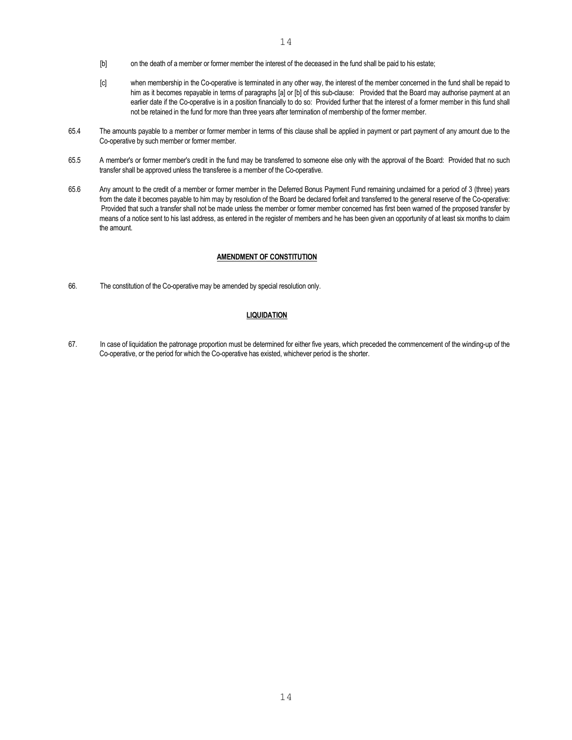- [c] when membership in the Co-operative is terminated in any other way, the interest of the member concerned in the fund shall be repaid to him as it becomes repayable in terms of paragraphs [a] or [b] of this sub-clause: Provided that the Board may authorise payment at an earlier date if the Co-operative is in a position financially to do so: Provided further that the interest of a former member in this fund shall not be retained in the fund for more than three years after termination of membership of the former member.
- 65.4 The amounts payable to a member or former member in terms of this clause shall be applied in payment or part payment of any amount due to the Co-operative by such member or former member.
- 65.5 A member's or former member's credit in the fund may be transferred to someone else only with the approval of the Board: Provided that no such transfer shall be approved unless the transferee is a member of the Co-operative.
- 65.6 Any amount to the credit of a member or former member in the Deferred Bonus Payment Fund remaining unclaimed for a period of 3 (three) years from the date it becomes payable to him may by resolution of the Board be declared forfeit and transferred to the general reserve of the Co-operative: Provided that such a transfer shall not be made unless the member or former member concerned has first been warned of the proposed transfer by means of a notice sent to his last address, as entered in the register of members and he has been given an opportunity of at least six months to claim the amount.

## **AMENDMENT OF CONSTITUTION**

66. The constitution of the Co-operative may be amended by special resolution only.

### **LIQUIDATION**

67. In case of liquidation the patronage proportion must be determined for either five years, which preceded the commencement of the winding-up of the Co-operative, or the period for which the Co-operative has existed, whichever period is the shorter.